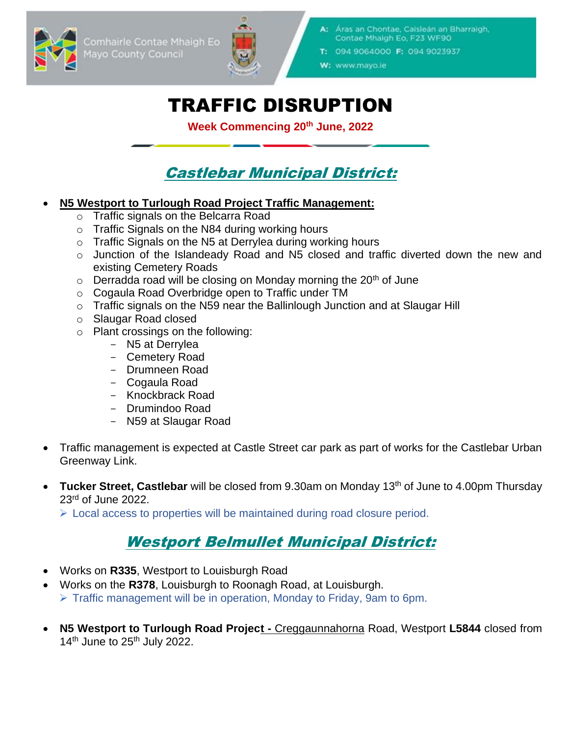Comhairle Contae Mhaigh Eo Mayo County Council



- Áras an Chontae, Caisleán an Bharraigh, Contae Mhaigh Eo, F23 WF90
- T: 094 9064000 F: 094 9023937

W: www.mayo.ie

# TRAFFIC DISRUPTION

**Week Commencing 20th June, 2022**

## Castlebar Municipal District:

#### • **N5 Westport to Turlough Road Project Traffic Management:**

- o Traffic signals on the Belcarra Road
- o Traffic Signals on the N84 during working hours
- o Traffic Signals on the N5 at Derrylea during working hours
- o Junction of the Islandeady Road and N5 closed and traffic diverted down the new and existing Cemetery Roads
- $\circ$  Derradda road will be closing on Monday morning the 20<sup>th</sup> of June
- o Cogaula Road Overbridge open to Traffic under TM
- o Traffic signals on the N59 near the Ballinlough Junction and at Slaugar Hill
- o Slaugar Road closed
- o Plant crossings on the following:
	- N5 at Derrylea
	- Cemetery Road
	- Drumneen Road
	- Cogaula Road
	- Knockbrack Road
	- Drumindoo Road
	- N59 at Slaugar Road
- Traffic management is expected at Castle Street car park as part of works for the Castlebar Urban Greenway Link.
- **Tucker Street, Castlebar** will be closed from 9.30am on Monday 13th of June to 4.00pm Thursday 23rd of June 2022.

➢ Local access to properties will be maintained during road closure period.

## Westport Belmullet Municipal District:

- Works on **R335**, Westport to Louisburgh Road
- Works on the **R378**, Louisburgh to Roonagh Road, at Louisburgh. ➢ Traffic management will be in operation, Monday to Friday, 9am to 6pm.
- **N5 Westport to Turlough Road Project -** Creggaunnahorna Road, Westport **L5844** closed from  $14<sup>th</sup>$  June to  $25<sup>th</sup>$  July 2022.